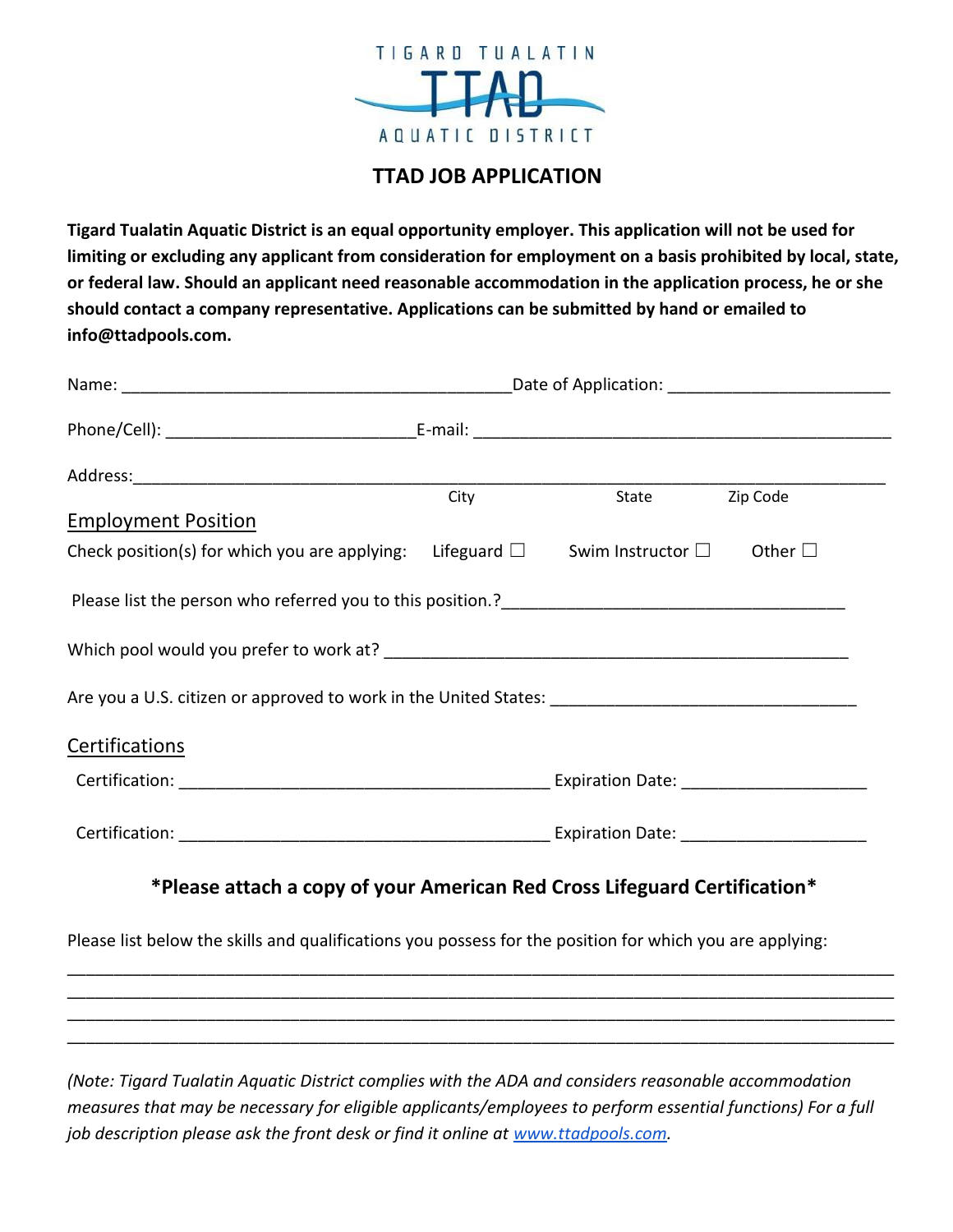

# **TTAD JOB APPLICATION**

**Tigard Tualatin Aquatic District is an equal opportunity employer. This application will not be used for limiting or excluding any applicant from consideration for employment on a basis prohibited by local, state, or federal law. Should an applicant need reasonable accommodation in the application process, he or she should contact a company representative. Applications can be submitted by hand or emailed to info@ttadpools.com.**

|                                                                                                             | City | State | Zip Code |
|-------------------------------------------------------------------------------------------------------------|------|-------|----------|
| <b>Employment Position</b>                                                                                  |      |       |          |
| Check position(s) for which you are applying: Lifeguard $\square$ Swim Instructor $\square$ Other $\square$ |      |       |          |
|                                                                                                             |      |       |          |
|                                                                                                             |      |       |          |
|                                                                                                             |      |       |          |
| <b>Certifications</b>                                                                                       |      |       |          |
|                                                                                                             |      |       |          |
|                                                                                                             |      |       |          |
| *Please attach a copy of your American Red Cross Lifeguard Certification*                                   |      |       |          |

Please list below the skills and qualifications you possess for the position for which you are applying:

*(Note: Tigard Tualatin Aquatic District complies with the ADA and considers reasonable accommodation measures that may be necessary for eligible applicants/employees to perform essential functions) For a full job description please ask the front desk or find it online at [www.ttadpools.com.](http://www.ttadpools.com/)*

\_\_\_\_\_\_\_\_\_\_\_\_\_\_\_\_\_\_\_\_\_\_\_\_\_\_\_\_\_\_\_\_\_\_\_\_\_\_\_\_\_\_\_\_\_\_\_\_\_\_\_\_\_\_\_\_\_\_\_\_\_\_\_\_\_\_\_\_\_\_\_\_\_\_\_\_\_\_\_\_\_\_\_\_\_\_\_\_\_ \_\_\_\_\_\_\_\_\_\_\_\_\_\_\_\_\_\_\_\_\_\_\_\_\_\_\_\_\_\_\_\_\_\_\_\_\_\_\_\_\_\_\_\_\_\_\_\_\_\_\_\_\_\_\_\_\_\_\_\_\_\_\_\_\_\_\_\_\_\_\_\_\_\_\_\_\_\_\_\_\_\_\_\_\_\_\_\_\_ \_\_\_\_\_\_\_\_\_\_\_\_\_\_\_\_\_\_\_\_\_\_\_\_\_\_\_\_\_\_\_\_\_\_\_\_\_\_\_\_\_\_\_\_\_\_\_\_\_\_\_\_\_\_\_\_\_\_\_\_\_\_\_\_\_\_\_\_\_\_\_\_\_\_\_\_\_\_\_\_\_\_\_\_\_\_\_\_\_ \_\_\_\_\_\_\_\_\_\_\_\_\_\_\_\_\_\_\_\_\_\_\_\_\_\_\_\_\_\_\_\_\_\_\_\_\_\_\_\_\_\_\_\_\_\_\_\_\_\_\_\_\_\_\_\_\_\_\_\_\_\_\_\_\_\_\_\_\_\_\_\_\_\_\_\_\_\_\_\_\_\_\_\_\_\_\_\_\_